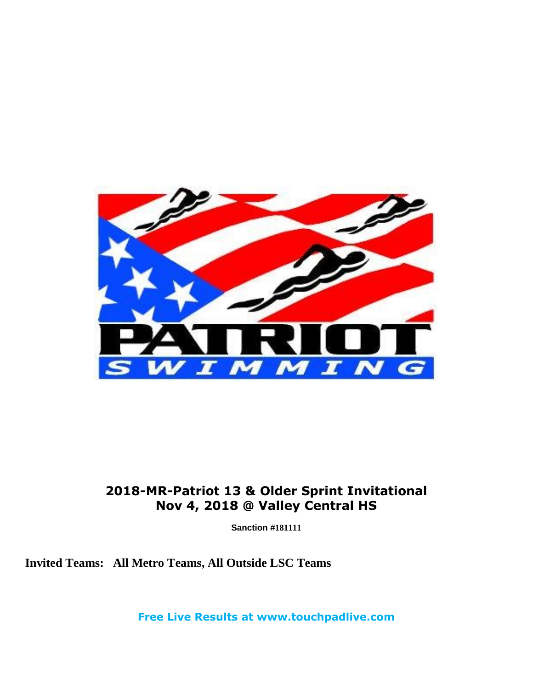

### **2018-MR-Patriot 13 & Older Sprint Invitational Nov 4, 2018 @ Valley Central HS**

**Sanction #181111**

**Invited Teams: All Metro Teams, All Outside LSC Teams**

**Free Live Results at www.touchpadlive.com**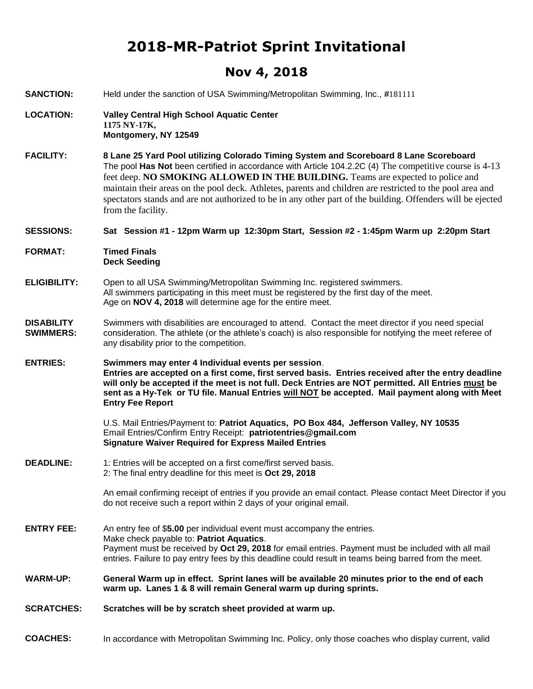## **2018-MR-Patriot Sprint Invitational**

#### **Nov 4, 2018**

- **SANCTION:** Held under the sanction of USA Swimming/Metropolitan Swimming, Inc., **#**181111
- **LOCATION: Valley Central High School Aquatic Center 1175 NY-17K, Montgomery, NY 12549**
- **FACILITY: 8 Lane 25 Yard Pool utilizing Colorado Timing System and Scoreboard 8 Lane Scoreboard** The pool **Has Not** been certified in accordance with Article 104.2.2C (4) The competitive course is 4-13 feet deep. **NO SMOKING ALLOWED IN THE BUILDING.** Teams are expected to police and maintain their areas on the pool deck. Athletes, parents and children are restricted to the pool area and spectators stands and are not authorized to be in any other part of the building. Offenders will be ejected from the facility.

**SESSIONS: Sat Session #1 - 12pm Warm up 12:30pm Start, Session #2 - 1:45pm Warm up 2:20pm Start** 

**FORMAT: Timed Finals Deck Seeding** 

#### **ELIGIBILITY:** Open to all USA Swimming/Metropolitan Swimming Inc. registered swimmers. All swimmers participating in this meet must be registered by the first day of the meet. Age on **NOV 4, 2018** will determine age for the entire meet.

**DISABILITY SWIMMERS:** Swimmers with disabilities are encouraged to attend. Contact the meet director if you need special consideration. The athlete (or the athlete's coach) is also responsible for notifying the meet referee of any disability prior to the competition.

**ENTRIES: Swimmers may enter 4 Individual events per session, Entries are accepted on a first come, first served basis. Entries received after the entry deadline will only be accepted if the meet is not full. Deck Entries are NOT permitted. All Entries must be sent as a Hy-Tek or TU file. Manual Entries will NOT be accepted. Mail payment along with Meet Entry Fee Report** 

> U.S. Mail Entries/Payment to: **Patriot Aquatics, PO Box 484, Jefferson Valley, NY 10535** Email Entries/Confirm Entry Receipt: **patriotentries@gmail.com Signature Waiver Required for Express Mailed Entries**

**DEADLINE:** 1: Entries will be accepted on a first come/first served basis. 2: The final entry deadline for this meet is **Oct 29, 2018**

> An email confirming receipt of entries if you provide an email contact. Please contact Meet Director if you do not receive such a report within 2 days of your original email.

- **ENTRY FEE:** An entry fee of \$**5.00** per individual event must accompany the entries. Make check payable to: **Patriot Aquatics**. Payment must be received by **Oct 29, 2018** for email entries. Payment must be included with all mail entries. Failure to pay entry fees by this deadline could result in teams being barred from the meet.
- **WARM-UP: General Warm up in effect. Sprint lanes will be available 20 minutes prior to the end of each warm up. Lanes 1 & 8 will remain General warm up during sprints.**
- **SCRATCHES: Scratches will be by scratch sheet provided at warm up.**

**COACHES:** In accordance with Metropolitan Swimming Inc. Policy, only those coaches who display current, valid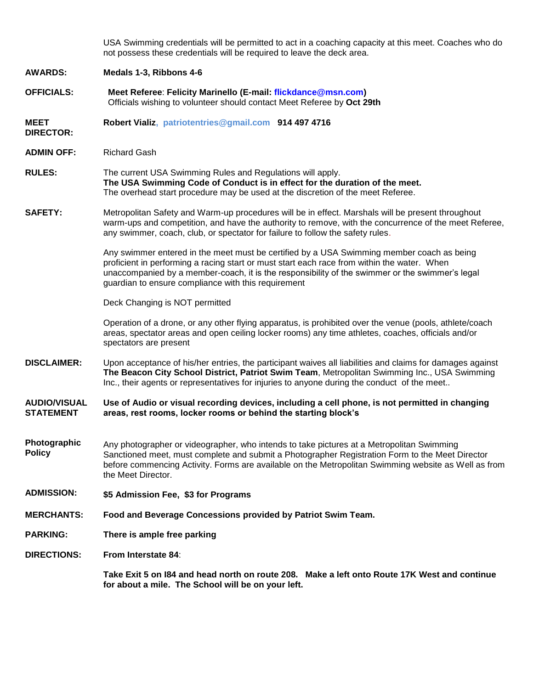USA Swimming credentials will be permitted to act in a coaching capacity at this meet. Coaches who do not possess these credentials will be required to leave the deck area.

**AWARDS: Medals 1-3, Ribbons 4-6** 

**OFFICIALS: Meet Referee**: **Felicity Marinello (E-mail: flickdance@msn.com)**  Officials wishing to volunteer should contact Meet Referee by **Oct 29th** 

**MEET Robert Vializ, patriotentries@gmail.com 914 497 4716**

**DIRECTOR:**

**ADMIN OFF:** Richard Gash

**RULES:** The current USA Swimming Rules and Regulations will apply. **The USA Swimming Code of Conduct is in effect for the duration of the meet.** The overhead start procedure may be used at the discretion of the meet Referee.

**SAFETY:** Metropolitan Safety and Warm-up procedures will be in effect. Marshals will be present throughout warm-ups and competition, and have the authority to remove, with the concurrence of the meet Referee, any swimmer, coach, club, or spectator for failure to follow the safety rules.

> Any swimmer entered in the meet must be certified by a USA Swimming member coach as being proficient in performing a racing start or must start each race from within the water. When unaccompanied by a member-coach, it is the responsibility of the swimmer or the swimmer's legal guardian to ensure compliance with this requirement

Deck Changing is NOT permitted

Operation of a drone, or any other flying apparatus, is prohibited over the venue (pools, athlete/coach areas, spectator areas and open ceiling locker rooms) any time athletes, coaches, officials and/or spectators are present

**DISCLAIMER:** Upon acceptance of his/her entries, the participant waives all liabilities and claims for damages against **The Beacon City School District, Patriot Swim Team**, Metropolitan Swimming Inc., USA Swimming Inc., their agents or representatives for injuries to anyone during the conduct of the meet..

**AUDIO/VISUAL STATEMENT Use of Audio or visual recording devices, including a cell phone, is not permitted in changing areas, rest rooms, locker rooms or behind the starting block's**

- **Photographic Policy** Any photographer or videographer, who intends to take pictures at a Metropolitan Swimming Sanctioned meet, must complete and submit a Photographer Registration Form to the Meet Director before commencing Activity. Forms are available on the Metropolitan Swimming website as Well as from the Meet Director.
- **ADMISSION: \$5 Admission Fee, \$3 for Programs**

**MERCHANTS: Food and Beverage Concessions provided by Patriot Swim Team.** 

**PARKING: There is ample free parking** 

**DIRECTIONS: From Interstate 84**:

**Take Exit 5 on I84 and head north on route 208. Make a left onto Route 17K West and continue for about a mile. The School will be on your left.**